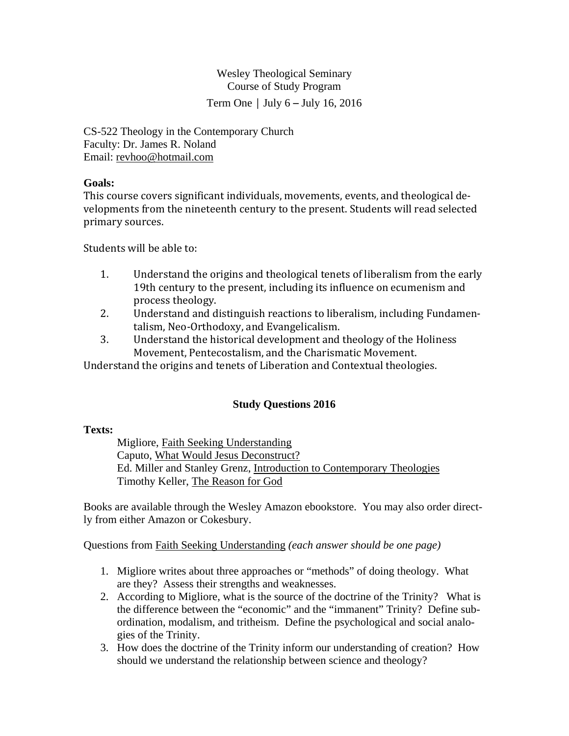Wesley Theological Seminary Course of Study Program Term One  $\vert$  July 6 – July 16, 2016

CS-522 Theology in the Contemporary Church Faculty: Dr. James R. Noland Email: revhoo@hotmail.com

## **Goals:**

This course covers significant individuals, movements, events, and theological developments from the nineteenth century to the present. Students will read selected primary sources.

Students will be able to:

- 1. Understand the origins and theological tenets of liberalism from the early 19th century to the present, including its influence on ecumenism and process theology.
- 2. Understand and distinguish reactions to liberalism, including Fundamentalism, Neo-Orthodoxy, and Evangelicalism.
- 3. Understand the historical development and theology of the Holiness Movement, Pentecostalism, and the Charismatic Movement.

Understand the origins and tenets of Liberation and Contextual theologies.

# **Study Questions 2016**

## **Texts:**

 Migliore, Faith Seeking Understanding Caputo, What Would Jesus Deconstruct? Ed. Miller and Stanley Grenz, Introduction to Contemporary Theologies Timothy Keller, The Reason for God

Books are available through the Wesley Amazon ebookstore. You may also order directly from either Amazon or Cokesbury.

Questions from Faith Seeking Understanding *(each answer should be one page)* 

- 1. Migliore writes about three approaches or "methods" of doing theology. What are they? Assess their strengths and weaknesses.
- 2. According to Migliore, what is the source of the doctrine of the Trinity? What is the difference between the "economic" and the "immanent" Trinity? Define subordination, modalism, and tritheism. Define the psychological and social analogies of the Trinity.
- 3. How does the doctrine of the Trinity inform our understanding of creation? How should we understand the relationship between science and theology?